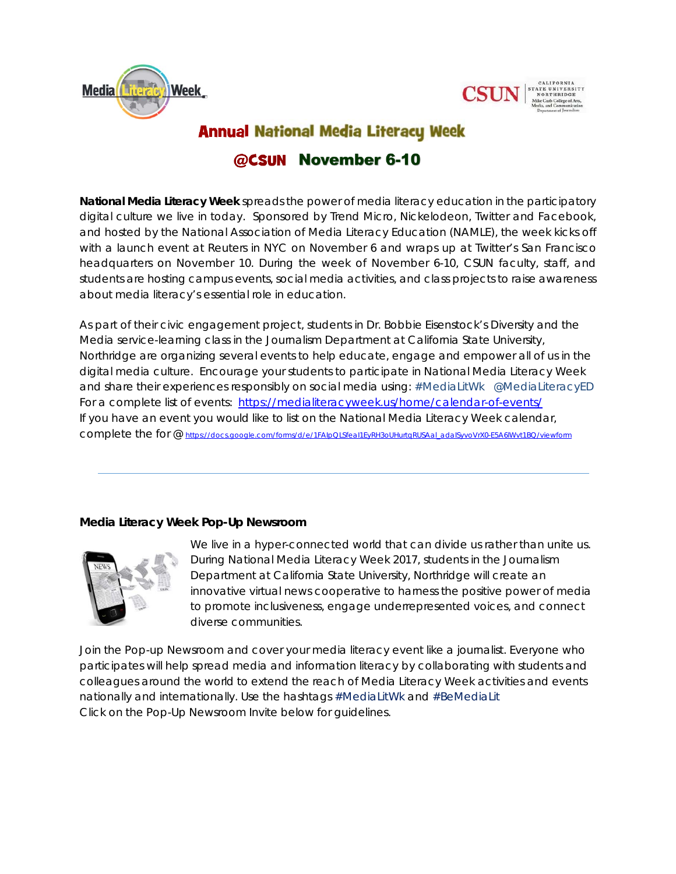



CALIFORNIA STATE UNIVERSITY NORTHRIDGE

# **Annual National Media Literacy Week**

## @CSUN November 6-10

**National Media Literacy Week** spreads the power of media literacy education in the participatory digital culture we live in today. Sponsored by Trend Micro, Nickelodeon, Twitter and Facebook, and hosted by the National Association of Media Literacy Education (NAMLE), the week kicks off with a launch event at Reuters in NYC on November 6 and wraps up at Twitter's San Francisco headquarters on November 10. During the week of November 6-10, CSUN faculty, staff, and students are hosting campus events, social media activities, and class projects to raise awareness about media literacy's essential role in education.

As part of their civic engagement project, students in Dr. Bobbie Eisenstock's Diversity and the Media service-learning class in the Journalism Department at California State University, Northridge are organizing several events to help educate, engage and empower all of us in the digital media culture. Encourage your students to participate in National Media Literacy Week and share their experiences responsibly on social media using: #MediaLitWk @MediaLiteracyED *For a complete list of events: https://medialiteracyweek.us/home/calendar-of-events/ If you have an event you would like to list on the National Media Literacy Week calendar, complete the for @ https://docs.google.com/forms/d/e/1FAIpQLSfeaI1EyRH3oUHurtqRUSAal\_adaISyvoVrX0-E5A6lWvt1BQ/viewform*

#### *Media Literacy Week Pop-Up Newsroom*



We live in a hyper-connected world that can divide us rather than unite us. During National Media Literacy Week 2017, students in the Journalism Department at California State University, Northridge will create an innovative virtual news cooperative to harness the positive power of media to promote inclusiveness, engage underrepresented voices, and connect diverse communities.

*Join the Pop-up Newsroom and cover your media literacy event like a journalist.* Everyone who participates will help spread media and information literacy by collaborating with students and colleagues around the world to extend the reach of Media Literacy Week activities and events nationally and internationally. Use the hashtags #MediaLitWk and #BeMediaLit *Click on the Pop-Up Newsroom Invite below for guidelines.*